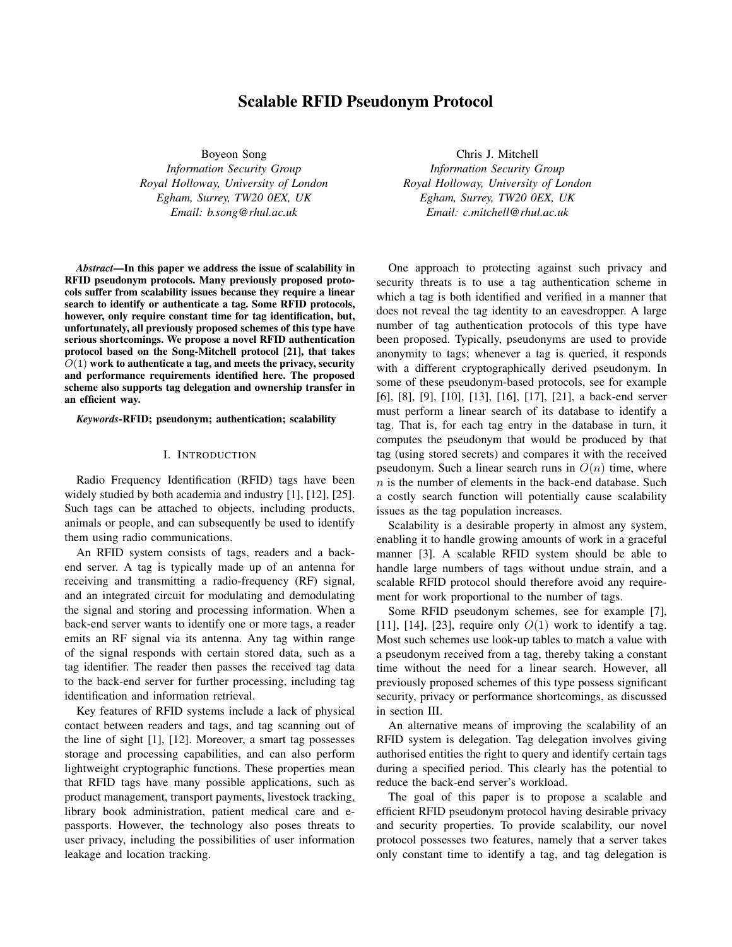# Scalable RFID Pseudonym Protocol

Boyeon Song *Information Security Group Royal Holloway, University of London Egham, Surrey, TW20 0EX, UK Email: b.song@rhul.ac.uk*

*Abstract*—In this paper we address the issue of scalability in RFID pseudonym protocols. Many previously proposed protocols suffer from scalability issues because they require a linear search to identify or authenticate a tag. Some RFID protocols, however, only require constant time for tag identification, but, unfortunately, all previously proposed schemes of this type have serious shortcomings. We propose a novel RFID authentication protocol based on the Song-Mitchell protocol [21], that takes  $O(1)$  work to authenticate a tag, and meets the privacy, security and performance requirements identified here. The proposed scheme also supports tag delegation and ownership transfer in an efficient way.

*Keywords*-RFID; pseudonym; authentication; scalability

#### I. INTRODUCTION

Radio Frequency Identification (RFID) tags have been widely studied by both academia and industry [1], [12], [25]. Such tags can be attached to objects, including products, animals or people, and can subsequently be used to identify them using radio communications.

An RFID system consists of tags, readers and a backend server. A tag is typically made up of an antenna for receiving and transmitting a radio-frequency (RF) signal, and an integrated circuit for modulating and demodulating the signal and storing and processing information. When a back-end server wants to identify one or more tags, a reader emits an RF signal via its antenna. Any tag within range of the signal responds with certain stored data, such as a tag identifier. The reader then passes the received tag data to the back-end server for further processing, including tag identification and information retrieval.

Key features of RFID systems include a lack of physical contact between readers and tags, and tag scanning out of the line of sight [1], [12]. Moreover, a smart tag possesses storage and processing capabilities, and can also perform lightweight cryptographic functions. These properties mean that RFID tags have many possible applications, such as product management, transport payments, livestock tracking, library book administration, patient medical care and epassports. However, the technology also poses threats to user privacy, including the possibilities of user information leakage and location tracking.

Chris J. Mitchell *Information Security Group Royal Holloway, University of London Egham, Surrey, TW20 0EX, UK Email: c.mitchell@rhul.ac.uk*

One approach to protecting against such privacy and security threats is to use a tag authentication scheme in which a tag is both identified and verified in a manner that does not reveal the tag identity to an eavesdropper. A large number of tag authentication protocols of this type have been proposed. Typically, pseudonyms are used to provide anonymity to tags; whenever a tag is queried, it responds with a different cryptographically derived pseudonym. In some of these pseudonym-based protocols, see for example [6], [8], [9], [10], [13], [16], [17], [21], a back-end server must perform a linear search of its database to identify a tag. That is, for each tag entry in the database in turn, it computes the pseudonym that would be produced by that tag (using stored secrets) and compares it with the received pseudonym. Such a linear search runs in  $O(n)$  time, where  $n$  is the number of elements in the back-end database. Such a costly search function will potentially cause scalability issues as the tag population increases.

Scalability is a desirable property in almost any system, enabling it to handle growing amounts of work in a graceful manner [3]. A scalable RFID system should be able to handle large numbers of tags without undue strain, and a scalable RFID protocol should therefore avoid any requirement for work proportional to the number of tags.

Some RFID pseudonym schemes, see for example [7], [11], [14], [23], require only  $O(1)$  work to identify a tag. Most such schemes use look-up tables to match a value with a pseudonym received from a tag, thereby taking a constant time without the need for a linear search. However, all previously proposed schemes of this type possess significant security, privacy or performance shortcomings, as discussed in section III.

An alternative means of improving the scalability of an RFID system is delegation. Tag delegation involves giving authorised entities the right to query and identify certain tags during a specified period. This clearly has the potential to reduce the back-end server's workload.

The goal of this paper is to propose a scalable and efficient RFID pseudonym protocol having desirable privacy and security properties. To provide scalability, our novel protocol possesses two features, namely that a server takes only constant time to identify a tag, and tag delegation is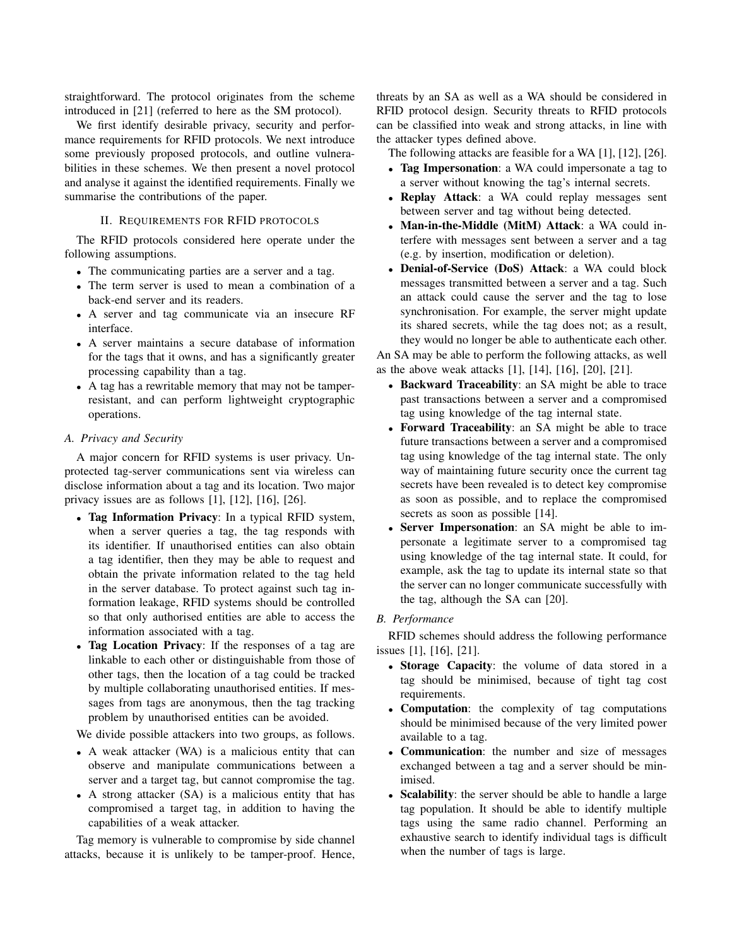straightforward. The protocol originates from the scheme introduced in [21] (referred to here as the SM protocol).

We first identify desirable privacy, security and performance requirements for RFID protocols. We next introduce some previously proposed protocols, and outline vulnerabilities in these schemes. We then present a novel protocol and analyse it against the identified requirements. Finally we summarise the contributions of the paper.

### II. REQUIREMENTS FOR RFID PROTOCOLS

The RFID protocols considered here operate under the following assumptions.

- The communicating parties are a server and a tag.
- The term server is used to mean a combination of a back-end server and its readers.
- A server and tag communicate via an insecure RF interface.
- A server maintains a secure database of information for the tags that it owns, and has a significantly greater processing capability than a tag.
- A tag has a rewritable memory that may not be tamperresistant, and can perform lightweight cryptographic operations.

### *A. Privacy and Security*

A major concern for RFID systems is user privacy. Unprotected tag-server communications sent via wireless can disclose information about a tag and its location. Two major privacy issues are as follows [1], [12], [16], [26].

- Tag Information Privacy: In a typical RFID system, when a server queries a tag, the tag responds with its identifier. If unauthorised entities can also obtain a tag identifier, then they may be able to request and obtain the private information related to the tag held in the server database. To protect against such tag information leakage, RFID systems should be controlled so that only authorised entities are able to access the information associated with a tag.
- Tag Location Privacy: If the responses of a tag are linkable to each other or distinguishable from those of other tags, then the location of a tag could be tracked by multiple collaborating unauthorised entities. If messages from tags are anonymous, then the tag tracking problem by unauthorised entities can be avoided.

We divide possible attackers into two groups, as follows.

- A weak attacker (WA) is a malicious entity that can observe and manipulate communications between a server and a target tag, but cannot compromise the tag.
- A strong attacker (SA) is a malicious entity that has compromised a target tag, in addition to having the capabilities of a weak attacker.

Tag memory is vulnerable to compromise by side channel attacks, because it is unlikely to be tamper-proof. Hence, threats by an SA as well as a WA should be considered in RFID protocol design. Security threats to RFID protocols can be classified into weak and strong attacks, in line with the attacker types defined above.

The following attacks are feasible for a WA [1], [12], [26].

- Tag Impersonation: a WA could impersonate a tag to a server without knowing the tag's internal secrets.
- Replay Attack: a WA could replay messages sent between server and tag without being detected.
- Man-in-the-Middle (MitM) Attack: a WA could interfere with messages sent between a server and a tag (e.g. by insertion, modification or deletion).
- Denial-of-Service (DoS) Attack: a WA could block messages transmitted between a server and a tag. Such an attack could cause the server and the tag to lose synchronisation. For example, the server might update its shared secrets, while the tag does not; as a result, they would no longer be able to authenticate each other.

An SA may be able to perform the following attacks, as well as the above weak attacks [1], [14], [16], [20], [21].

- Backward Traceability: an SA might be able to trace past transactions between a server and a compromised tag using knowledge of the tag internal state.
- Forward Traceability: an SA might be able to trace future transactions between a server and a compromised tag using knowledge of the tag internal state. The only way of maintaining future security once the current tag secrets have been revealed is to detect key compromise as soon as possible, and to replace the compromised secrets as soon as possible [14].
- Server Impersonation: an SA might be able to impersonate a legitimate server to a compromised tag using knowledge of the tag internal state. It could, for example, ask the tag to update its internal state so that the server can no longer communicate successfully with the tag, although the SA can [20].

## *B. Performance*

RFID schemes should address the following performance issues [1], [16], [21].

- Storage Capacity: the volume of data stored in a tag should be minimised, because of tight tag cost requirements.
- Computation: the complexity of tag computations should be minimised because of the very limited power available to a tag.
- Communication: the number and size of messages exchanged between a tag and a server should be minimised.
- Scalability: the server should be able to handle a large tag population. It should be able to identify multiple tags using the same radio channel. Performing an exhaustive search to identify individual tags is difficult when the number of tags is large.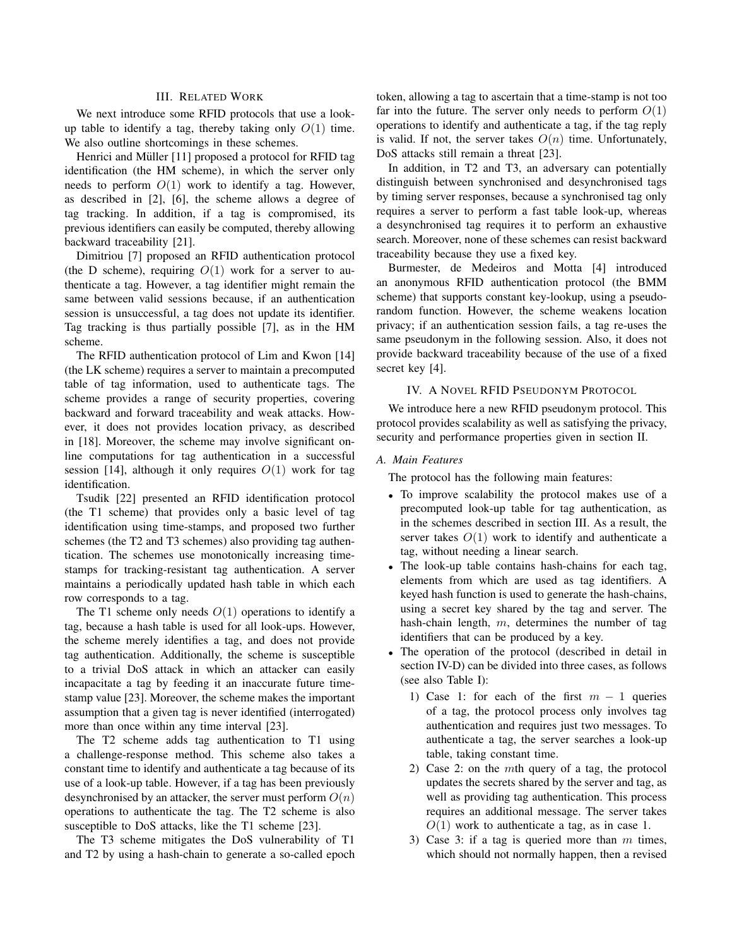# III. RELATED WORK

We next introduce some RFID protocols that use a lookup table to identify a tag, thereby taking only  $O(1)$  time. We also outline shortcomings in these schemes.

Henrici and Müller [11] proposed a protocol for RFID tag identification (the HM scheme), in which the server only needs to perform  $O(1)$  work to identify a tag. However, as described in [2], [6], the scheme allows a degree of tag tracking. In addition, if a tag is compromised, its previous identifiers can easily be computed, thereby allowing backward traceability [21].

Dimitriou [7] proposed an RFID authentication protocol (the D scheme), requiring  $O(1)$  work for a server to authenticate a tag. However, a tag identifier might remain the same between valid sessions because, if an authentication session is unsuccessful, a tag does not update its identifier. Tag tracking is thus partially possible [7], as in the HM scheme.

The RFID authentication protocol of Lim and Kwon [14] (the LK scheme) requires a server to maintain a precomputed table of tag information, used to authenticate tags. The scheme provides a range of security properties, covering backward and forward traceability and weak attacks. However, it does not provides location privacy, as described in [18]. Moreover, the scheme may involve significant online computations for tag authentication in a successful session [14], although it only requires  $O(1)$  work for tag identification.

Tsudik [22] presented an RFID identification protocol (the T1 scheme) that provides only a basic level of tag identification using time-stamps, and proposed two further schemes (the T2 and T3 schemes) also providing tag authentication. The schemes use monotonically increasing timestamps for tracking-resistant tag authentication. A server maintains a periodically updated hash table in which each row corresponds to a tag.

The T1 scheme only needs  $O(1)$  operations to identify a tag, because a hash table is used for all look-ups. However, the scheme merely identifies a tag, and does not provide tag authentication. Additionally, the scheme is susceptible to a trivial DoS attack in which an attacker can easily incapacitate a tag by feeding it an inaccurate future timestamp value [23]. Moreover, the scheme makes the important assumption that a given tag is never identified (interrogated) more than once within any time interval [23].

The T2 scheme adds tag authentication to T1 using a challenge-response method. This scheme also takes a constant time to identify and authenticate a tag because of its use of a look-up table. However, if a tag has been previously desynchronised by an attacker, the server must perform  $O(n)$ operations to authenticate the tag. The T2 scheme is also susceptible to DoS attacks, like the T1 scheme [23].

The T3 scheme mitigates the DoS vulnerability of T1 and T2 by using a hash-chain to generate a so-called epoch token, allowing a tag to ascertain that a time-stamp is not too far into the future. The server only needs to perform  $O(1)$ operations to identify and authenticate a tag, if the tag reply is valid. If not, the server takes  $O(n)$  time. Unfortunately, DoS attacks still remain a threat [23].

In addition, in T2 and T3, an adversary can potentially distinguish between synchronised and desynchronised tags by timing server responses, because a synchronised tag only requires a server to perform a fast table look-up, whereas a desynchronised tag requires it to perform an exhaustive search. Moreover, none of these schemes can resist backward traceability because they use a fixed key.

Burmester, de Medeiros and Motta [4] introduced an anonymous RFID authentication protocol (the BMM scheme) that supports constant key-lookup, using a pseudorandom function. However, the scheme weakens location privacy; if an authentication session fails, a tag re-uses the same pseudonym in the following session. Also, it does not provide backward traceability because of the use of a fixed secret key [4].

### IV. A NOVEL RFID PSEUDONYM PROTOCOL

We introduce here a new RFID pseudonym protocol. This protocol provides scalability as well as satisfying the privacy, security and performance properties given in section II.

### *A. Main Features*

The protocol has the following main features:

- To improve scalability the protocol makes use of a precomputed look-up table for tag authentication, as in the schemes described in section III. As a result, the server takes  $O(1)$  work to identify and authenticate a tag, without needing a linear search.
- The look-up table contains hash-chains for each tag, elements from which are used as tag identifiers. A keyed hash function is used to generate the hash-chains, using a secret key shared by the tag and server. The hash-chain length, m, determines the number of tag identifiers that can be produced by a key.
- The operation of the protocol (described in detail in section IV-D) can be divided into three cases, as follows (see also Table I):
	- 1) Case 1: for each of the first  $m 1$  queries of a tag, the protocol process only involves tag authentication and requires just two messages. To authenticate a tag, the server searches a look-up table, taking constant time.
	- 2) Case 2: on the mth query of a tag, the protocol updates the secrets shared by the server and tag, as well as providing tag authentication. This process requires an additional message. The server takes  $O(1)$  work to authenticate a tag, as in case 1.
	- 3) Case 3: if a tag is queried more than  $m$  times, which should not normally happen, then a revised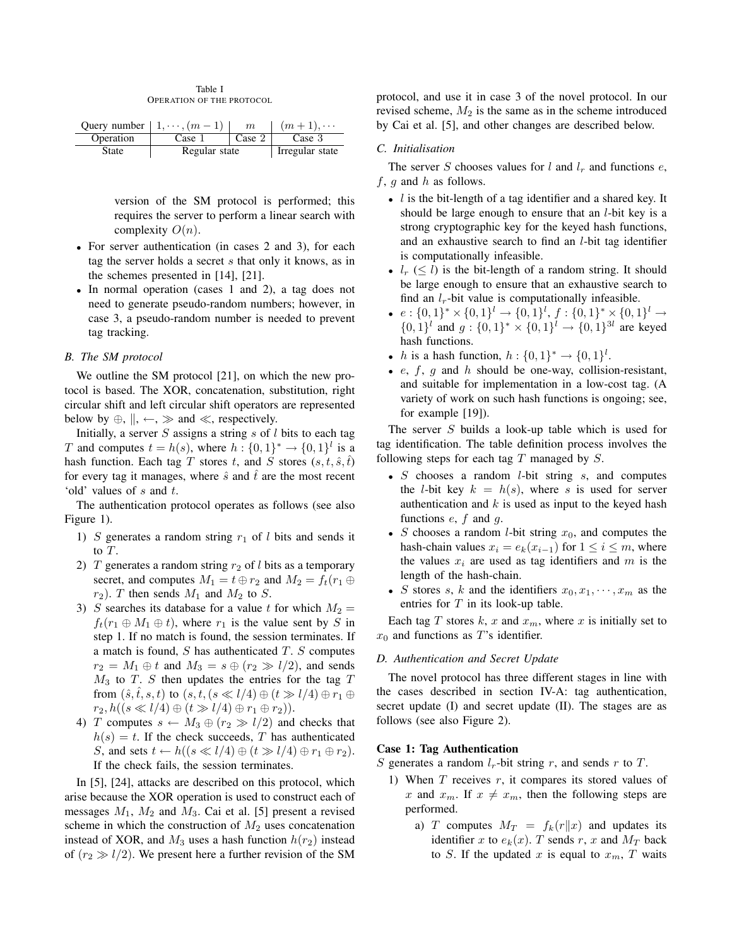Table I OPERATION OF THE PROTOCOL

|           | Ouery number $\vert 1, \dots, (m-1) \vert$ | m               | $(m+1), \cdots$ |  |
|-----------|--------------------------------------------|-----------------|-----------------|--|
| Operation | Case 1                                     | Case 2          | Case 3          |  |
| State     | Regular state                              | Irregular state |                 |  |

version of the SM protocol is performed; this requires the server to perform a linear search with complexity  $O(n)$ .

- For server authentication (in cases 2 and 3), for each tag the server holds a secret s that only it knows, as in the schemes presented in [14], [21].
- In normal operation (cases 1 and 2), a tag does not need to generate pseudo-random numbers; however, in case 3, a pseudo-random number is needed to prevent tag tracking.

### *B. The SM protocol*

We outline the SM protocol [21], on which the new protocol is based. The XOR, concatenation, substitution, right circular shift and left circular shift operators are represented below by  $\oplus$ ,  $\parallel$ ,  $\leftarrow$ ,  $\gg$  and  $\ll$ , respectively.

Initially, a server  $S$  assigns a string  $s$  of  $l$  bits to each tag T and computes  $t = h(s)$ , where  $h: \{0, 1\}^* \rightarrow \{0, 1\}^l$  is a hash function. Each tag T stores t, and S stores  $(s, t, \hat{s}, t)$ for every tag it manages, where  $\hat{s}$  and  $\hat{t}$  are the most recent 'old' values of  $s$  and  $t$ .

The authentication protocol operates as follows (see also Figure 1).

- 1) S generates a random string  $r_1$  of l bits and sends it to T.
- 2)  $T$  generates a random string  $r_2$  of l bits as a temporary secret, and computes  $M_1 = t \oplus r_2$  and  $M_2 = f_t(r_1 \oplus$  $r_2$ ). T then sends  $M_1$  and  $M_2$  to S.
- 3) S searches its database for a value t for which  $M_2 =$  $f_t(r_1 \oplus M_1 \oplus t)$ , where  $r_1$  is the value sent by S in step 1. If no match is found, the session terminates. If a match is found,  $S$  has authenticated  $T. S$  computes  $r_2 = M_1 \oplus t$  and  $M_3 = s \oplus (r_2 \gg l/2)$ , and sends  $M_3$  to T. S then updates the entries for the tag T from  $(\hat{s}, \hat{t}, s, t)$  to  $(s, t, (s \ll l/4) \oplus (t \gg l/4) \oplus r_1 \oplus$  $r_2, h((s \ll l/4) \oplus (t \gg l/4) \oplus r_1 \oplus r_2)).$
- 4) T computes  $s \leftarrow M_3 \oplus (r_2 \gg l/2)$  and checks that  $h(s) = t$ . If the check succeeds, T has authenticated S, and sets  $t \leftarrow h((s \ll l/4) \oplus (t \gg l/4) \oplus r_1 \oplus r_2).$ If the check fails, the session terminates.

In [5], [24], attacks are described on this protocol, which arise because the XOR operation is used to construct each of messages  $M_1$ ,  $M_2$  and  $M_3$ . Cai et al. [5] present a revised scheme in which the construction of  $M_2$  uses concatenation instead of XOR, and  $M_3$  uses a hash function  $h(r_2)$  instead of  $(r_2 \gg l/2)$ . We present here a further revision of the SM protocol, and use it in case 3 of the novel protocol. In our revised scheme,  $M_2$  is the same as in the scheme introduced by Cai et al. [5], and other changes are described below.

#### *C. Initialisation*

The server S chooses values for l and  $l_r$  and functions e,  $f, g$  and h as follows.

- $l$  is the bit-length of a tag identifier and a shared key. It should be large enough to ensure that an  $l$ -bit key is a strong cryptographic key for the keyed hash functions, and an exhaustive search to find an l-bit tag identifier is computationally infeasible.
- $l_r$  ( $\leq l$ ) is the bit-length of a random string. It should be large enough to ensure that an exhaustive search to find an  $l_r$ -bit value is computationally infeasible.
- $e: \{0,1\}^* \times \{0,1\}^l \rightarrow \{0,1\}^l, f: \{0,1\}^* \times \{0,1\}^l \rightarrow$  $\{0,1\}^l$  and  $g: \{0,1\}^* \times \{0,1\}^l \rightarrow \{0,1\}^{3l}$  are keyed hash functions.
- *h* is a hash function,  $h: \{0, 1\}^* \to \{0, 1\}^l$ .
- $e, f, g$  and h should be one-way, collision-resistant, and suitable for implementation in a low-cost tag. (A variety of work on such hash functions is ongoing; see, for example [19]).

The server S builds a look-up table which is used for tag identification. The table definition process involves the following steps for each tag  $T$  managed by  $S$ .

- $S$  chooses a random *l*-bit string  $s$ , and computes the *l*-bit key  $k = h(s)$ , where s is used for server authentication and  $k$  is used as input to the keyed hash functions  $e$ ,  $f$  and  $g$ .
- S chooses a random *l*-bit string  $x_0$ , and computes the hash-chain values  $x_i = e_k(x_{i-1})$  for  $1 \le i \le m$ , where the values  $x_i$  are used as tag identifiers and m is the length of the hash-chain.
- S stores s, k and the identifiers  $x_0, x_1, \dots, x_m$  as the entries for  $T$  in its look-up table.

Each tag T stores k, x and  $x_m$ , where x is initially set to  $x_0$  and functions as T's identifier.

#### *D. Authentication and Secret Update*

The novel protocol has three different stages in line with the cases described in section IV-A: tag authentication, secret update (I) and secret update (II). The stages are as follows (see also Figure 2).

### Case 1: Tag Authentication

S generates a random  $l_r$ -bit string r, and sends r to T.

- 1) When  $T$  receives  $r$ , it compares its stored values of x and  $x_m$ . If  $x \neq x_m$ , then the following steps are performed.
	- a) T computes  $M_T = f_k(r||x)$  and updates its identifier x to  $e_k(x)$ . T sends r, x and  $M_T$  back to S. If the updated x is equal to  $x_m$ , T waits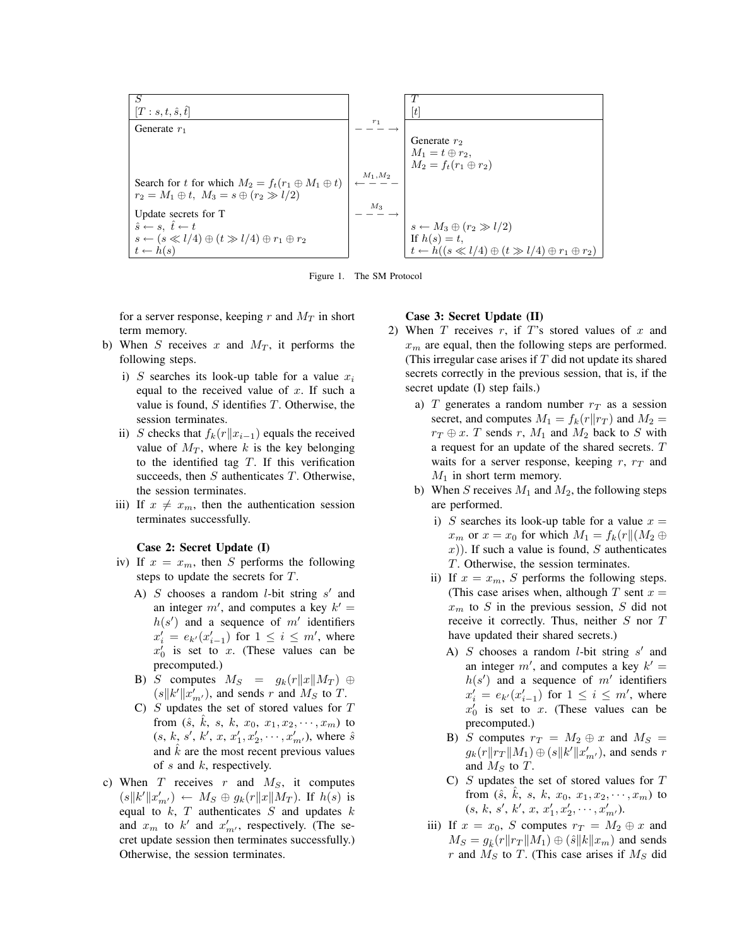

Figure 1. The SM Protocol

for a server response, keeping r and  $M_T$  in short term memory.

- b) When S receives x and  $M_T$ , it performs the following steps.
	- i) S searches its look-up table for a value  $x_i$ equal to the received value of  $x$ . If such a value is found,  $S$  identifies  $T$ . Otherwise, the session terminates.
	- ii) S checks that  $f_k(r||x_{i-1})$  equals the received value of  $M_T$ , where k is the key belonging to the identified tag  $T$ . If this verification succeeds, then  $S$  authenticates  $T$ . Otherwise, the session terminates.
	- iii) If  $x \neq x_m$ , then the authentication session terminates successfully.

### Case 2: Secret Update (I)

- iv) If  $x = x_m$ , then S performs the following steps to update the secrets for T.
	- A)  $S$  chooses a random  $l$ -bit string  $s'$  and an integer  $m'$ , and computes a key  $k' =$  $h(s')$  and a sequence of m' identifiers  $x'_i = e_{k'}(x'_{i-1})$  for  $1 \leq i \leq m'$ , where  $x'_0$  is set to x. (These values can be precomputed.)
	- B) S computes  $M_S = g_k(r||x||M_T) \oplus$  $(s||k'||x'_{m'})$ , and sends r and  $M_S$  to T.
	- C)  $S$  updates the set of stored values for  $T$ from  $(\hat{s}, \hat{k}, s, k, x_0, x_1, x_2, \dots, x_m)$  to  $(s, k, s', k', x, x'_1, x'_2, \cdots, x'_{m'})$ , where  $\hat{s}$ and  $\hat{k}$  are the most recent previous values of  $s$  and  $k$ , respectively.
- c) When  $T$  receives  $r$  and  $M_S$ , it computes  $(s||k'||x'_{m'}) \leftarrow M_S \oplus g_k(r||x||M_T)$ . If  $h(s)$  is equal to  $k$ ,  $T$  authenticates  $S$  and updates  $k$ and  $x_m$  to  $k'$  and  $x'_{m'}$ , respectively. (The secret update session then terminates successfully.) Otherwise, the session terminates.

# Case 3: Secret Update (II)

- 2) When  $T$  receives  $r$ , if  $T$ 's stored values of  $x$  and  $x_m$  are equal, then the following steps are performed. (This irregular case arises if  $T$  did not update its shared secrets correctly in the previous session, that is, if the secret update (I) step fails.)
	- a)  $T$  generates a random number  $r<sub>T</sub>$  as a session secret, and computes  $M_1 = f_k(r||r_T)$  and  $M_2 =$  $r_T \oplus x$ . T sends r,  $M_1$  and  $M_2$  back to S with a request for an update of the shared secrets. T waits for a server response, keeping r,  $r<sub>T</sub>$  and  $M_1$  in short term memory.
	- b) When S receives  $M_1$  and  $M_2$ , the following steps are performed.
		- i) S searches its look-up table for a value  $x =$  $x_m$  or  $x = x_0$  for which  $M_1 = f_k(r|| (M_2 \oplus$  $(x)$ ). If such a value is found, S authenticates T. Otherwise, the session terminates.
		- ii) If  $x = x_m$ , S performs the following steps. (This case arises when, although T sent  $x =$  $x_m$  to S in the previous session, S did not receive it correctly. Thus, neither S nor T have updated their shared secrets.)
			- A)  $S$  chooses a random  $l$ -bit string  $s'$  and an integer  $m'$ , and computes a key  $k' =$  $h(s')$  and a sequence of m' identifiers  $x'_i = e_{k'}(x'_{i-1})$  for  $1 \leq i \leq m'$ , where  $x'_0$  is set to x. (These values can be precomputed.)
			- B) S computes  $r_T = M_2 \oplus x$  and  $M_S =$  $g_k(r||r_T||M_1) \oplus (s||k'||x'_{m'})$ , and sends r and  $M<sub>S</sub>$  to T.
			- C)  $S$  updates the set of stored values for  $T$ from  $(\hat{s}, \hat{k}, s, k, x_0, x_1, x_2, \dots, x_m)$  to  $(s, k, s', k', x, x'_1, x'_2, \cdots, x'_{m'})$ .
		- iii) If  $x = x_0$ , S computes  $r_T = M_2 \oplus x$  and  $M_S = g_k(r||r_T||M_1) \oplus (\hat{s}||k||r_m)$  and sends r and  $M<sub>S</sub>$  to T. (This case arises if  $M<sub>S</sub>$  did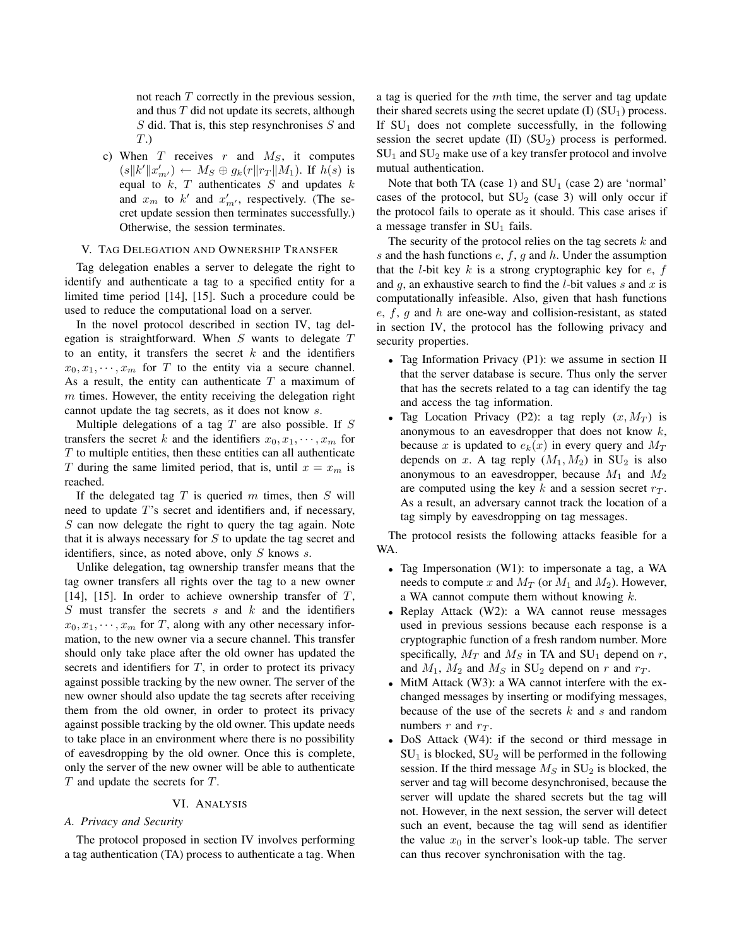not reach T correctly in the previous session, and thus  $T$  did not update its secrets, although  $S$  did. That is, this step resynchronises  $S$  and T.)

c) When  $T$  receives  $r$  and  $M_S$ , it computes  $(s||k'||x'_{m'}) \leftarrow M_S \oplus g_k(r||r_T||M_1)$ . If  $h(s)$  is equal to  $k$ ,  $T$  authenticates  $S$  and updates  $k$ and  $x_m$  to  $k'$  and  $x'_{m'}$ , respectively. (The secret update session then terminates successfully.) Otherwise, the session terminates.

#### V. TAG DELEGATION AND OWNERSHIP TRANSFER

Tag delegation enables a server to delegate the right to identify and authenticate a tag to a specified entity for a limited time period [14], [15]. Such a procedure could be used to reduce the computational load on a server.

In the novel protocol described in section IV, tag delegation is straightforward. When  $S$  wants to delegate  $T$ to an entity, it transfers the secret  $k$  and the identifiers  $x_0, x_1, \dots, x_m$  for T to the entity via a secure channel. As a result, the entity can authenticate  $T$  a maximum of  $m$  times. However, the entity receiving the delegation right cannot update the tag secrets, as it does not know s.

Multiple delegations of a tag  $T$  are also possible. If  $S$ transfers the secret k and the identifiers  $x_0, x_1, \dots, x_m$  for  $T$  to multiple entities, then these entities can all authenticate T during the same limited period, that is, until  $x = x_m$  is reached.

If the delegated tag  $T$  is queried  $m$  times, then  $S$  will need to update T's secret and identifiers and, if necessary,  $S$  can now delegate the right to query the tag again. Note that it is always necessary for  $S$  to update the tag secret and identifiers, since, as noted above, only  $S$  knows  $s$ .

Unlike delegation, tag ownership transfer means that the tag owner transfers all rights over the tag to a new owner [14], [15]. In order to achieve ownership transfer of  $T$ ,  $S$  must transfer the secrets  $s$  and  $k$  and the identifiers  $x_0, x_1, \dots, x_m$  for T, along with any other necessary information, to the new owner via a secure channel. This transfer should only take place after the old owner has updated the secrets and identifiers for  $T$ , in order to protect its privacy against possible tracking by the new owner. The server of the new owner should also update the tag secrets after receiving them from the old owner, in order to protect its privacy against possible tracking by the old owner. This update needs to take place in an environment where there is no possibility of eavesdropping by the old owner. Once this is complete, only the server of the new owner will be able to authenticate T and update the secrets for T.

#### VI. ANALYSIS

#### *A. Privacy and Security*

The protocol proposed in section IV involves performing a tag authentication (TA) process to authenticate a tag. When a tag is queried for the mth time, the server and tag update their shared secrets using the secret update  $(I)$  (SU<sub>1</sub>) process. If  $SU_1$  does not complete successfully, in the following session the secret update  $(II)$   $(SU_2)$  process is performed.  $SU_1$  and  $SU_2$  make use of a key transfer protocol and involve mutual authentication.

Note that both TA (case 1) and  $SU_1$  (case 2) are 'normal' cases of the protocol, but  $SU_2$  (case 3) will only occur if the protocol fails to operate as it should. This case arises if a message transfer in  $SU_1$  fails.

The security of the protocol relies on the tag secrets  $k$  and s and the hash functions  $e$ ,  $f$ ,  $g$  and  $h$ . Under the assumption that the *l*-bit key  $k$  is a strong cryptographic key for  $e$ ,  $f$ and q, an exhaustive search to find the  $l$ -bit values s and x is computationally infeasible. Also, given that hash functions  $e, f, q$  and h are one-way and collision-resistant, as stated in section IV, the protocol has the following privacy and security properties.

- Tag Information Privacy (P1): we assume in section II that the server database is secure. Thus only the server that has the secrets related to a tag can identify the tag and access the tag information.
- Tag Location Privacy (P2): a tag reply  $(x, M_T)$  is anonymous to an eavesdropper that does not know  $k$ , because x is updated to  $e_k(x)$  in every query and  $M_T$ depends on x. A tag reply  $(M_1, M_2)$  in SU<sub>2</sub> is also anonymous to an eavesdropper, because  $M_1$  and  $M_2$ are computed using the key k and a session secret  $r<sub>T</sub>$ . As a result, an adversary cannot track the location of a tag simply by eavesdropping on tag messages.

The protocol resists the following attacks feasible for a WA.

- Tag Impersonation (W1): to impersonate a tag, a WA needs to compute x and  $M_T$  (or  $M_1$  and  $M_2$ ). However, a WA cannot compute them without knowing  $k$ .
- Replay Attack (W2): a WA cannot reuse messages used in previous sessions because each response is a cryptographic function of a fresh random number. More specifically,  $M_T$  and  $M_S$  in TA and SU<sub>1</sub> depend on r, and  $M_1$ ,  $M_2$  and  $M_S$  in SU<sub>2</sub> depend on r and  $r_T$ .
- MitM Attack (W3): a WA cannot interfere with the exchanged messages by inserting or modifying messages, because of the use of the secrets  $k$  and  $s$  and random numbers  $r$  and  $r_T$ .
- DoS Attack (W4): if the second or third message in  $SU<sub>1</sub>$  is blocked,  $SU<sub>2</sub>$  will be performed in the following session. If the third message  $M<sub>S</sub>$  in SU<sub>2</sub> is blocked, the server and tag will become desynchronised, because the server will update the shared secrets but the tag will not. However, in the next session, the server will detect such an event, because the tag will send as identifier the value  $x_0$  in the server's look-up table. The server can thus recover synchronisation with the tag.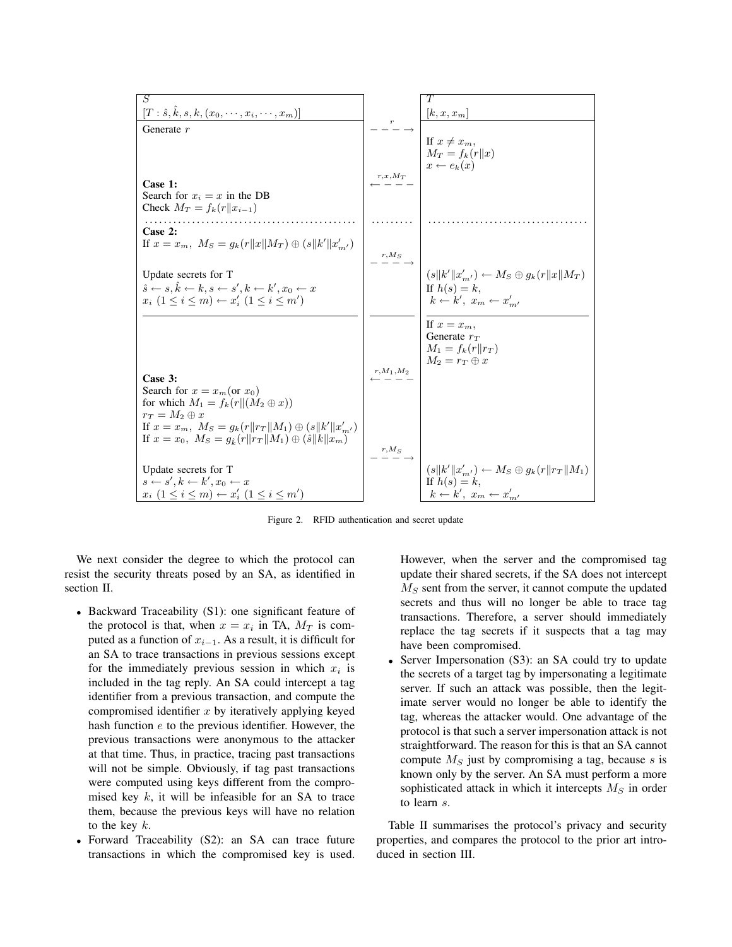

Figure 2. RFID authentication and secret update

We next consider the degree to which the protocol can resist the security threats posed by an SA, as identified in section II.

- Backward Traceability (S1): one significant feature of the protocol is that, when  $x = x_i$  in TA,  $M_T$  is computed as a function of  $x_{i-1}$ . As a result, it is difficult for an SA to trace transactions in previous sessions except for the immediately previous session in which  $x_i$  is included in the tag reply. An SA could intercept a tag identifier from a previous transaction, and compute the compromised identifier  $x$  by iteratively applying keyed hash function e to the previous identifier. However, the previous transactions were anonymous to the attacker at that time. Thus, in practice, tracing past transactions will not be simple. Obviously, if tag past transactions were computed using keys different from the compromised key  $k$ , it will be infeasible for an SA to trace them, because the previous keys will have no relation to the key  $k$ .
- Forward Traceability (S2): an SA can trace future transactions in which the compromised key is used.

However, when the server and the compromised tag update their shared secrets, if the SA does not intercept  $M<sub>S</sub>$  sent from the server, it cannot compute the updated secrets and thus will no longer be able to trace tag transactions. Therefore, a server should immediately replace the tag secrets if it suspects that a tag may have been compromised.

Server Impersonation (S3): an SA could try to update the secrets of a target tag by impersonating a legitimate server. If such an attack was possible, then the legitimate server would no longer be able to identify the tag, whereas the attacker would. One advantage of the protocol is that such a server impersonation attack is not straightforward. The reason for this is that an SA cannot compute  $M<sub>S</sub>$  just by compromising a tag, because s is known only by the server. An SA must perform a more sophisticated attack in which it intercepts  $M<sub>S</sub>$  in order to learn s.

Table II summarises the protocol's privacy and security properties, and compares the protocol to the prior art introduced in section III.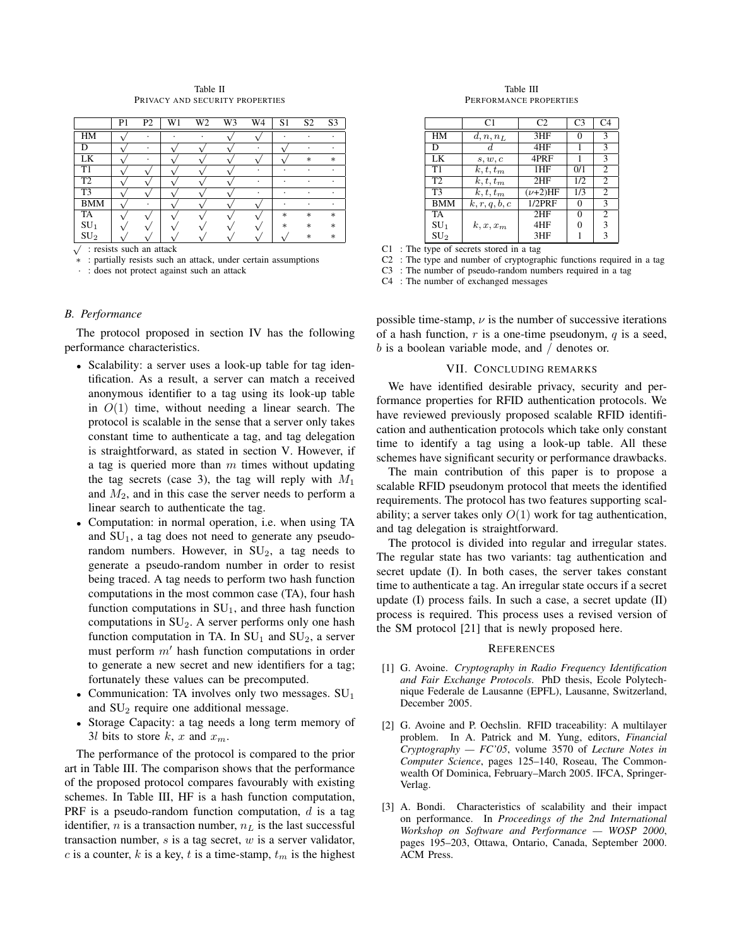Table II PRIVACY AND SECURITY PROPERTIES

|                 | P1 | P <sub>2</sub> | W1 | W2 | W3 | W4 | $\overline{S1}$ | $\overline{S2}$ | $\overline{S3}$ |
|-----------------|----|----------------|----|----|----|----|-----------------|-----------------|-----------------|
| HM              |    | ٠              |    |    |    |    |                 |                 |                 |
| D               |    |                |    |    |    |    |                 |                 |                 |
| LK              |    | ٠              |    |    |    |    |                 | $\ast$          | $\ast$          |
| T1              |    |                |    |    |    | ٠  |                 | ٠               | ٠               |
| T <sub>2</sub>  |    |                |    |    |    |    |                 |                 |                 |
| T3              |    |                |    |    |    |    |                 |                 |                 |
| <b>BMM</b>      |    |                |    |    |    |    |                 |                 |                 |
| <b>TA</b>       |    |                |    |    |    |    | $\ast$          | $\ast$          | $\ast$          |
| $SU_1$          |    |                |    |    |    |    | $\ast$          | $\ast$          | $\ast$          |
| SU <sub>2</sub> |    |                |    |    |    |    |                 | $\ast$          | $\ast$          |

: resists such an attack

∗ : partially resists such an attack, under certain assumptions

· : does not protect against such an attack

### *B. Performance*

The protocol proposed in section IV has the following performance characteristics.

- Scalability: a server uses a look-up table for tag identification. As a result, a server can match a received anonymous identifier to a tag using its look-up table in  $O(1)$  time, without needing a linear search. The protocol is scalable in the sense that a server only takes constant time to authenticate a tag, and tag delegation is straightforward, as stated in section V. However, if a tag is queried more than  $m$  times without updating the tag secrets (case 3), the tag will reply with  $M_1$ and  $M_2$ , and in this case the server needs to perform a linear search to authenticate the tag.
- Computation: in normal operation, i.e. when using TA and  $SU_1$ , a tag does not need to generate any pseudorandom numbers. However, in  $SU<sub>2</sub>$ , a tag needs to generate a pseudo-random number in order to resist being traced. A tag needs to perform two hash function computations in the most common case (TA), four hash function computations in  $SU_1$ , and three hash function computations in  $SU_2$ . A server performs only one hash function computation in TA. In  $SU_1$  and  $SU_2$ , a server must perform  $m'$  hash function computations in order to generate a new secret and new identifiers for a tag; fortunately these values can be precomputed.
- Communication: TA involves only two messages.  $SU<sub>1</sub>$ and SU<sup>2</sup> require one additional message.
- Storage Capacity: a tag needs a long term memory of 3*l* bits to store  $k$ ,  $x$  and  $x_m$ .

The performance of the protocol is compared to the prior art in Table III. The comparison shows that the performance of the proposed protocol compares favourably with existing schemes. In Table III, HF is a hash function computation, PRF is a pseudo-random function computation,  $d$  is a tag identifier, *n* is a transaction number,  $n<sub>L</sub>$  is the last successful transaction number,  $s$  is a tag secret,  $w$  is a server validator, c is a counter, k is a key, t is a time-stamp,  $t_m$  is the highest

Table III PERFORMANCE PROPERTIES

|                 | C1            | C2          | C3  | C4                          |
|-----------------|---------------|-------------|-----|-----------------------------|
| HM              | $d, n, n_L$   | 3HF         |     | 3                           |
| D               |               | 4HF         |     | 3                           |
| LK              | s, w, c       | 4PRF        |     | 3                           |
| T1              | $k, t, t_m$   | 1HF         | 0/1 | $\overline{c}$              |
| T <sub>2</sub>  | $k,t,t_m$     | 2HF         | 1/2 | $\mathcal{D}_{\mathcal{L}}$ |
| T <sub>3</sub>  | $k, t, t_m$   | $(\nu+2)HF$ | 1/3 | 2                           |
| <b>BMM</b>      | k, r, q, b, c | 1/2PRF      |     | 3                           |
| TA              |               | 2HF         |     | 2                           |
| SU <sub>1</sub> | $k, x, x_m$   | 4HF         |     | 3                           |
| SU <sub>2</sub> |               | 3HF         |     |                             |

C1 : The type of secrets stored in a tag

C2 : The type and number of cryptographic functions required in a tag

C3 : The number of pseudo-random numbers required in a tag

C4 : The number of exchanged messages

possible time-stamp,  $\nu$  is the number of successive iterations of a hash function,  $r$  is a one-time pseudonym,  $q$  is a seed, b is a boolean variable mode, and / denotes or.

#### VII. CONCLUDING REMARKS

We have identified desirable privacy, security and performance properties for RFID authentication protocols. We have reviewed previously proposed scalable RFID identification and authentication protocols which take only constant time to identify a tag using a look-up table. All these schemes have significant security or performance drawbacks.

The main contribution of this paper is to propose a scalable RFID pseudonym protocol that meets the identified requirements. The protocol has two features supporting scalability; a server takes only  $O(1)$  work for tag authentication, and tag delegation is straightforward.

The protocol is divided into regular and irregular states. The regular state has two variants: tag authentication and secret update (I). In both cases, the server takes constant time to authenticate a tag. An irregular state occurs if a secret update (I) process fails. In such a case, a secret update (II) process is required. This process uses a revised version of the SM protocol [21] that is newly proposed here.

#### **REFERENCES**

- [1] G. Avoine. *Cryptography in Radio Frequency Identification and Fair Exchange Protocols*. PhD thesis, Ecole Polytechnique Federale de Lausanne (EPFL), Lausanne, Switzerland, December 2005.
- [2] G. Avoine and P. Oechslin. RFID traceability: A multilayer problem. In A. Patrick and M. Yung, editors, *Financial Cryptography — FC'05*, volume 3570 of *Lecture Notes in Computer Science*, pages 125–140, Roseau, The Commonwealth Of Dominica, February–March 2005. IFCA, Springer-Verlag.
- [3] A. Bondi. Characteristics of scalability and their impact on performance. In *Proceedings of the 2nd International Workshop on Software and Performance — WOSP 2000*, pages 195–203, Ottawa, Ontario, Canada, September 2000. ACM Press.